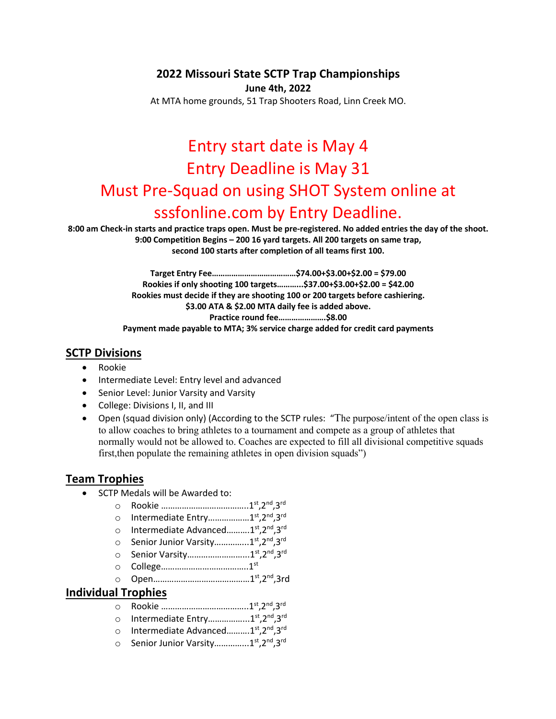### **2022 Missouri State SCTP Trap Championships**

**June 4th, 2022**

At MTA home grounds, 51 Trap Shooters Road, Linn Creek MO.

# Entry start date is May 4 Entry Deadline is May 31 Must Pre-Squad on using SHOT System online at sssfonline.com by Entry Deadline.

**8:00 am Check-in starts and practice traps open. Must be pre-registered. No added entries the day of the shoot. 9:00 Competition Begins – 200 16 yard targets. All 200 targets on same trap, second 100 starts after completion of all teams first 100.**

> **Target Entry Fee…………………………………\$74.00+\$3.00+\$2.00 = \$79.00 Rookies if only shooting 100 targets………...\$37.00+\$3.00+\$2.00 = \$42.00 Rookies must decide if they are shooting 100 or 200 targets before cashiering. \$3.00 ATA & \$2.00 MTA daily fee is added above. Practice round fee………………….\$8.00 Payment made payable to MTA; 3% service charge added for credit card payments**

#### **SCTP Divisions**

- Rookie
- Intermediate Level: Entry level and advanced
- Senior Level: Junior Varsity and Varsity
- College: Divisions I, II, and III
- Open (squad division only) (According to the SCTP rules: "The purpose/intent of the open class is to allow coaches to bring athletes to a tournament and compete as a group of athletes that normally would not be allowed to. Coaches are expected to fill all divisional competitive squads first, then populate the remaining athletes in open division squads")

## **Team Trophies**

- SCTP Medals will be Awarded to:
	- o Rookie ………………………………..1st,2nd,3rd
	- o Intermediate Entry………………1st,2nd,3rd
	- o Intermediate Advanced..........1<sup>st</sup>,2<sup>nd</sup>.3<sup>rd</sup>
	- Senior Junior Varsity................1<sup>st</sup>,2<sup>nd</sup>,3<sup>rd</sup>
	- o Senior Varsity..............................1st,2nd.3rd
	- o College………………………………..1st
	- o Open……………………………………1st,2nd,3rd

#### **Individual Trophies**

- o Rookie ………………………………..1st,2nd,3rd
- o Intermediate Entry……………...1st,2nd,3rd
- o Intermediate Advanced..........1st.2nd.3rd
- o Senior Junior Varsity................1<sup>st</sup>,2<sup>nd</sup>.3<sup>rd</sup>